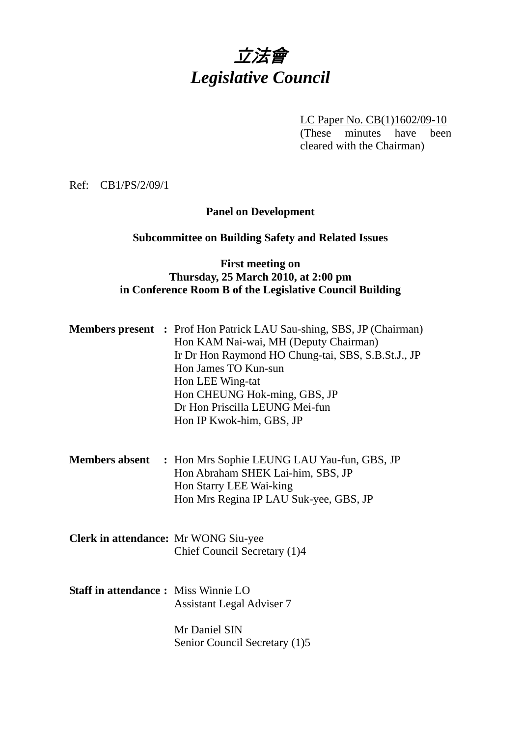# 立法會 *Legislative Council*

LC Paper No. CB(1)1602/09-10

(These minutes have been cleared with the Chairman)

Ref: CB1/PS/2/09/1

## **Panel on Development**

# **Subcommittee on Building Safety and Related Issues**

#### **First meeting on Thursday, 25 March 2010, at 2:00 pm in Conference Room B of the Legislative Council Building**

|                                             | <b>Members present</b> : Prof Hon Patrick LAU Sau-shing, SBS, JP (Chairman)<br>Hon KAM Nai-wai, MH (Deputy Chairman)<br>Ir Dr Hon Raymond HO Chung-tai, SBS, S.B.St.J., JP<br>Hon James TO Kun-sun<br>Hon LEE Wing-tat<br>Hon CHEUNG Hok-ming, GBS, JP<br>Dr Hon Priscilla LEUNG Mei-fun<br>Hon IP Kwok-him, GBS, JP |
|---------------------------------------------|----------------------------------------------------------------------------------------------------------------------------------------------------------------------------------------------------------------------------------------------------------------------------------------------------------------------|
|                                             | <b>Members absent</b> : Hon Mrs Sophie LEUNG LAU Yau-fun, GBS, JP<br>Hon Abraham SHEK Lai-him, SBS, JP<br>Hon Starry LEE Wai-king<br>Hon Mrs Regina IP LAU Suk-yee, GBS, JP                                                                                                                                          |
| Clerk in attendance: Mr WONG Siu-yee        | Chief Council Secretary (1)4                                                                                                                                                                                                                                                                                         |
| <b>Staff in attendance : Miss Winnie LO</b> | <b>Assistant Legal Adviser 7</b><br>Mr Daniel SIN<br>Senior Council Secretary (1)5                                                                                                                                                                                                                                   |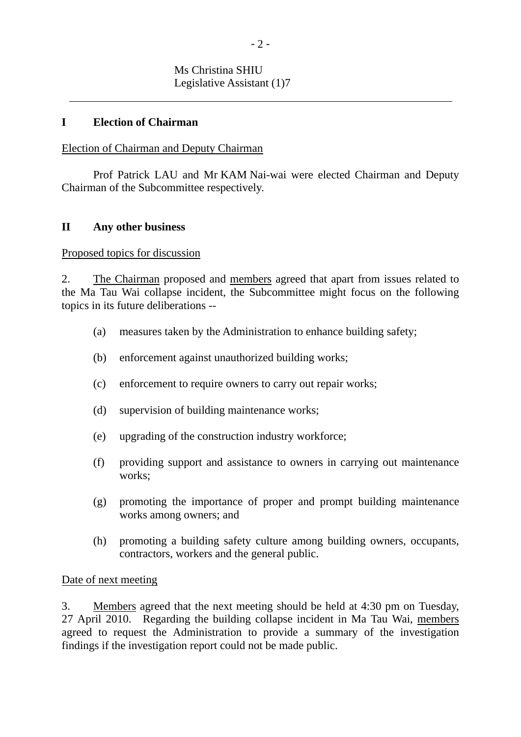#### **I Election of Chairman**

l

#### Election of Chairman and Deputy Chairman

 Prof Patrick LAU and Mr KAM Nai-wai were elected Chairman and Deputy Chairman of the Subcommittee respectively.

#### **II Any other business**

#### Proposed topics for discussion

2. The Chairman proposed and members agreed that apart from issues related to the Ma Tau Wai collapse incident, the Subcommittee might focus on the following topics in its future deliberations --

- (a) measures taken by the Administration to enhance building safety;
- (b) enforcement against unauthorized building works;
- (c) enforcement to require owners to carry out repair works;
- (d) supervision of building maintenance works;
- (e) upgrading of the construction industry workforce;
- (f) providing support and assistance to owners in carrying out maintenance works:
- (g) promoting the importance of proper and prompt building maintenance works among owners; and
- (h) promoting a building safety culture among building owners, occupants, contractors, workers and the general public.

#### Date of next meeting

3. Members agreed that the next meeting should be held at 4:30 pm on Tuesday, 27 April 2010. Regarding the building collapse incident in Ma Tau Wai, members agreed to request the Administration to provide a summary of the investigation findings if the investigation report could not be made public.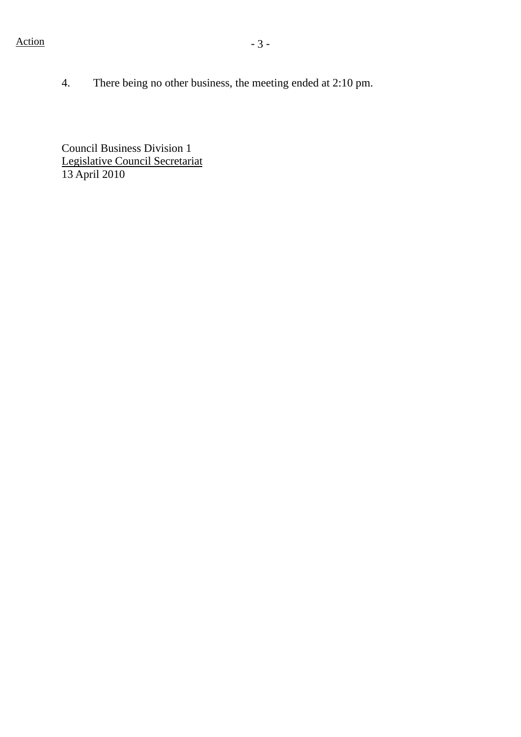4. There being no other business, the meeting ended at 2:10 pm.

Council Business Division 1 Legislative Council Secretariat 13 April 2010